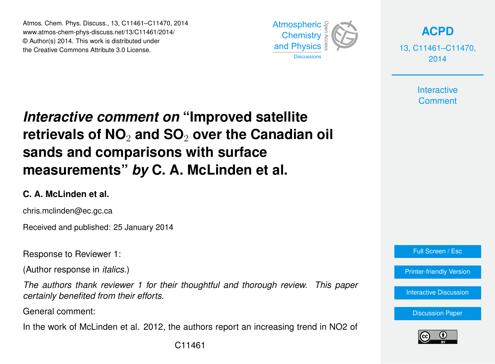Atmos. Chem. Phys. Discuss., 13, C11461–C11470, 2014 www.atmos-chem-phys-discuss.net/13/C11461/2014/ © Author(s) 2014. This work is distributed under the Creative Commons Attribute 3.0 License.



**[ACPD](http://www.atmos-chem-phys-discuss.net)**

13, C11461–C11470, 2014

> **Interactive Comment**

# *Interactive comment on* **"Improved satellite retrievals of NO**<sup>2</sup> **and SO**<sup>2</sup> **over the Canadian oil sands and comparisons with surface measurements"** *by* **C. A. McLinden et al.**

#### **C. A. McLinden et al.**

chris.mclinden@ec.gc.ca

Received and published: 25 January 2014

Response to Reviewer 1:

(Author response in *italics*.)

*The authors thank reviewer 1 for their thoughtful and thorough review. This paper certainly benefited from their efforts.*

General comment:

In the work of McLinden et al. 2012, the authors report an increasing trend in NO2 of



[Printer-friendly Version](http://www.atmos-chem-phys-discuss.net/13/C11461/2014/acpd-13-C11461-2014-print.pdf)

[Interactive Discussion](http://www.atmos-chem-phys-discuss.net/13/21609/2013/acpd-13-21609-2013-discussion.html)

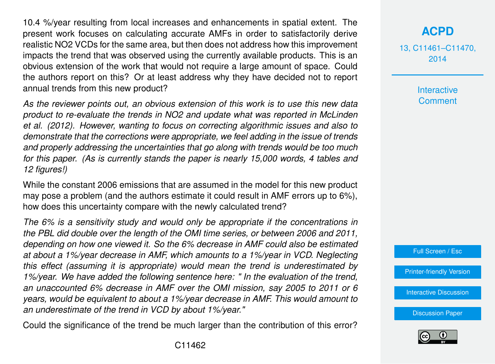10.4 %/year resulting from local increases and enhancements in spatial extent. The present work focuses on calculating accurate AMFs in order to satisfactorily derive realistic NO2 VCDs for the same area, but then does not address how this improvement impacts the trend that was observed using the currently available products. This is an obvious extension of the work that would not require a large amount of space. Could the authors report on this? Or at least address why they have decided not to report annual trends from this new product?

*As the reviewer points out, an obvious extension of this work is to use this new data product to re-evaluate the trends in NO2 and update what was reported in McLinden et al. (2012). However, wanting to focus on correcting algorithmic issues and also to demonstrate that the corrections were appropriate, we feel adding in the issue of trends and properly addressing the uncertainties that go along with trends would be too much for this paper. (As is currently stands the paper is nearly 15,000 words, 4 tables and 12 figures!)*

While the constant 2006 emissions that are assumed in the model for this new product may pose a problem (and the authors estimate it could result in AMF errors up to 6%), how does this uncertainty compare with the newly calculated trend?

*The 6% is a sensitivity study and would only be appropriate if the concentrations in the PBL did double over the length of the OMI time series, or between 2006 and 2011, depending on how one viewed it. So the 6% decrease in AMF could also be estimated at about a 1%/year decrease in AMF, which amounts to a 1%/year in VCD. Neglecting this effect (assuming it is appropriate) would mean the trend is underestimated by 1%/year. We have added the following sentence here: " In the evaluation of the trend, an unaccounted 6% decrease in AMF over the OMI mission, say 2005 to 2011 or 6 years, would be equivalent to about a 1%/year decrease in AMF. This would amount to an underestimate of the trend in VCD by about 1%/year."*

Could the significance of the trend be much larger than the contribution of this error?

## **[ACPD](http://www.atmos-chem-phys-discuss.net)**

13, C11461–C11470, 2014

> **Interactive Comment**



[Printer-friendly Version](http://www.atmos-chem-phys-discuss.net/13/C11461/2014/acpd-13-C11461-2014-print.pdf)

[Interactive Discussion](http://www.atmos-chem-phys-discuss.net/13/21609/2013/acpd-13-21609-2013-discussion.html)

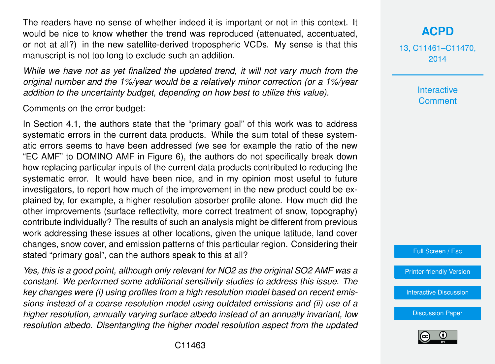The readers have no sense of whether indeed it is important or not in this context. It would be nice to know whether the trend was reproduced (attenuated, accentuated, or not at all?) in the new satellite-derived tropospheric VCDs. My sense is that this manuscript is not too long to exclude such an addition.

*While we have not as yet finalized the updated trend, it will not vary much from the original number and the 1%/year would be a relatively minor correction (or a 1%/year addition to the uncertainty budget, depending on how best to utilize this value).*

Comments on the error budget:

In Section 4.1, the authors state that the "primary goal" of this work was to address systematic errors in the current data products. While the sum total of these systematic errors seems to have been addressed (we see for example the ratio of the new "EC AMF" to DOMINO AMF in Figure 6), the authors do not specifically break down how replacing particular inputs of the current data products contributed to reducing the systematic error. It would have been nice, and in my opinion most useful to future investigators, to report how much of the improvement in the new product could be explained by, for example, a higher resolution absorber profile alone. How much did the other improvements (surface reflectivity, more correct treatment of snow, topography) contribute individually? The results of such an analysis might be different from previous work addressing these issues at other locations, given the unique latitude, land cover changes, snow cover, and emission patterns of this particular region. Considering their stated "primary goal", can the authors speak to this at all?

*Yes, this is a good point, although only relevant for NO2 as the original SO2 AMF was a constant. We performed some additional sensitivity studies to address this issue. The key changes were (i) using profiles from a high resolution model based on recent emissions instead of a coarse resolution model using outdated emissions and (ii) use of a higher resolution, annually varying surface albedo instead of an annually invariant, low resolution albedo. Disentangling the higher model resolution aspect from the updated* **[ACPD](http://www.atmos-chem-phys-discuss.net)**

13, C11461–C11470, 2014

> Interactive **Comment**

Full Screen / Esc

[Printer-friendly Version](http://www.atmos-chem-phys-discuss.net/13/C11461/2014/acpd-13-C11461-2014-print.pdf)

[Interactive Discussion](http://www.atmos-chem-phys-discuss.net/13/21609/2013/acpd-13-21609-2013-discussion.html)

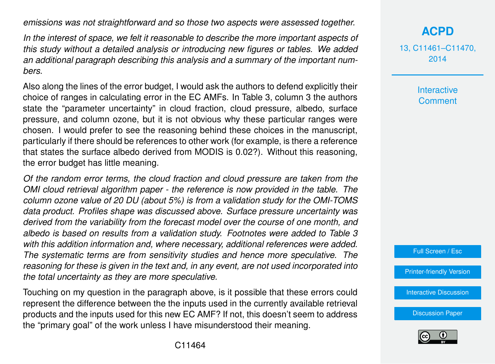*emissions was not straightforward and so those two aspects were assessed together.*

*In the interest of space, we felt it reasonable to describe the more important aspects of this study without a detailed analysis or introducing new figures or tables. We added an additional paragraph describing this analysis and a summary of the important numbers.*

Also along the lines of the error budget, I would ask the authors to defend explicitly their choice of ranges in calculating error in the EC AMFs. In Table 3, column 3 the authors state the "parameter uncertainty" in cloud fraction, cloud pressure, albedo, surface pressure, and column ozone, but it is not obvious why these particular ranges were chosen. I would prefer to see the reasoning behind these choices in the manuscript, particularly if there should be references to other work (for example, is there a reference that states the surface albedo derived from MODIS is 0.02?). Without this reasoning, the error budget has little meaning.

*Of the random error terms, the cloud fraction and cloud pressure are taken from the OMI cloud retrieval algorithm paper - the reference is now provided in the table. The column ozone value of 20 DU (about 5%) is from a validation study for the OMI-TOMS data product. Profiles shape was discussed above. Surface pressure uncertainty was derived from the variability from the forecast model over the course of one month, and albedo is based on results from a validation study. Footnotes were added to Table 3 with this addition information and, where necessary, additional references were added. The systematic terms are from sensitivity studies and hence more speculative. The reasoning for these is given in the text and, in any event, are not used incorporated into the total uncertainty as they are more speculative.*

Touching on my question in the paragraph above, is it possible that these errors could represent the difference between the the inputs used in the currently available retrieval products and the inputs used for this new EC AMF? If not, this doesn't seem to address the "primary goal" of the work unless I have misunderstood their meaning.

13, C11461–C11470, 2014

> **Interactive Comment**



[Printer-friendly Version](http://www.atmos-chem-phys-discuss.net/13/C11461/2014/acpd-13-C11461-2014-print.pdf)

[Interactive Discussion](http://www.atmos-chem-phys-discuss.net/13/21609/2013/acpd-13-21609-2013-discussion.html)

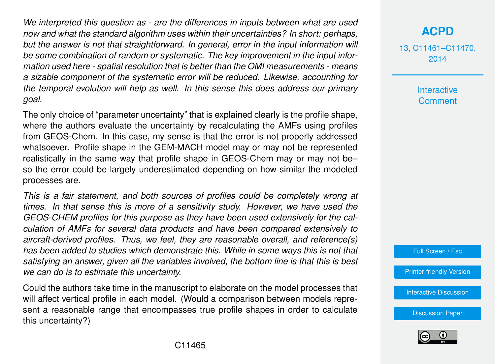*We interpreted this question as - are the differences in inputs between what are used now and what the standard algorithm uses within their uncertainties? In short: perhaps, but the answer is not that straightforward. In general, error in the input information will be some combination of random or systematic. The key improvement in the input information used here - spatial resolution that is better than the OMI measurements - means a sizable component of the systematic error will be reduced. Likewise, accounting for the temporal evolution will help as well. In this sense this does address our primary goal.*

The only choice of "parameter uncertainty" that is explained clearly is the profile shape, where the authors evaluate the uncertainty by recalculating the AMFs using profiles from GEOS-Chem. In this case, my sense is that the error is not properly addressed whatsoever. Profile shape in the GEM-MACH model may or may not be represented realistically in the same way that profile shape in GEOS-Chem may or may not be– so the error could be largely underestimated depending on how similar the modeled processes are.

*This is a fair statement, and both sources of profiles could be completely wrong at times. In that sense this is more of a sensitivity study. However, we have used the GEOS-CHEM profiles for this purpose as they have been used extensively for the calculation of AMFs for several data products and have been compared extensively to aircraft-derived profiles. Thus, we feel, they are reasonable overall, and reference(s) has been added to studies which demonstrate this. While in some ways this is not that satisfying an answer, given all the variables involved, the bottom line is that this is best we can do is to estimate this uncertainty.*

Could the authors take time in the manuscript to elaborate on the model processes that will affect vertical profile in each model. (Would a comparison between models represent a reasonable range that encompasses true profile shapes in order to calculate this uncertainty?)

## **[ACPD](http://www.atmos-chem-phys-discuss.net)**

13, C11461–C11470, 2014

> Interactive **Comment**

Full Screen / Esc

[Printer-friendly Version](http://www.atmos-chem-phys-discuss.net/13/C11461/2014/acpd-13-C11461-2014-print.pdf)

[Interactive Discussion](http://www.atmos-chem-phys-discuss.net/13/21609/2013/acpd-13-21609-2013-discussion.html)

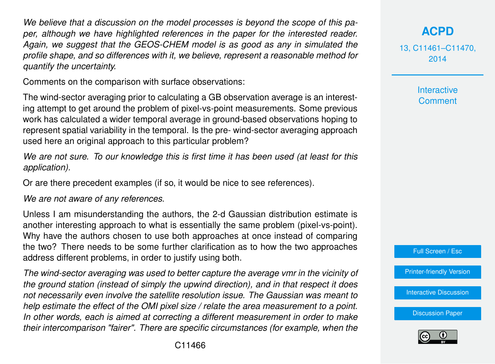*We believe that a discussion on the model processes is beyond the scope of this paper, although we have highlighted references in the paper for the interested reader. Again, we suggest that the GEOS-CHEM model is as good as any in simulated the profile shape, and so differences with it, we believe, represent a reasonable method for quantify the uncertainty.*

Comments on the comparison with surface observations:

The wind-sector averaging prior to calculating a GB observation average is an interesting attempt to get around the problem of pixel-vs-point measurements. Some previous work has calculated a wider temporal average in ground-based observations hoping to represent spatial variability in the temporal. Is the pre- wind-sector averaging approach used here an original approach to this particular problem?

*We are not sure. To our knowledge this is first time it has been used (at least for this application).*

Or are there precedent examples (if so, it would be nice to see references).

*We are not aware of any references.*

Unless I am misunderstanding the authors, the 2-d Gaussian distribution estimate is another interesting approach to what is essentially the same problem (pixel-vs-point). Why have the authors chosen to use both approaches at once instead of comparing the two? There needs to be some further clarification as to how the two approaches address different problems, in order to justify using both.

*The wind-sector averaging was used to better capture the average vmr in the vicinity of the ground station (instead of simply the upwind direction), and in that respect it does not necessarily even involve the satellite resolution issue. The Gaussian was meant to help estimate the effect of the OMI pixel size / relate the area measurement to a point. In other words, each is aimed at correcting a different measurement in order to make their intercomparison "fairer". There are specific circumstances (for example, when the*

## **[ACPD](http://www.atmos-chem-phys-discuss.net)**

13, C11461–C11470, 2014

> **Interactive Comment**



[Printer-friendly Version](http://www.atmos-chem-phys-discuss.net/13/C11461/2014/acpd-13-C11461-2014-print.pdf)

[Interactive Discussion](http://www.atmos-chem-phys-discuss.net/13/21609/2013/acpd-13-21609-2013-discussion.html)

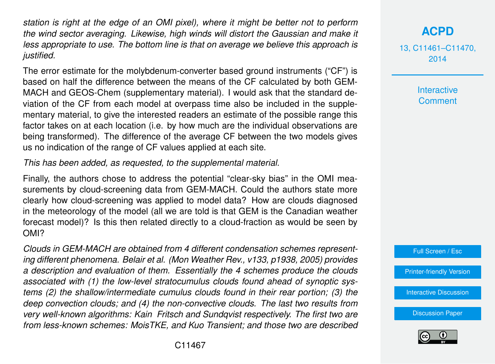*station is right at the edge of an OMI pixel), where it might be better not to perform the wind sector averaging. Likewise, high winds will distort the Gaussian and make it less appropriate to use. The bottom line is that on average we believe this approach is justified.*

The error estimate for the molybdenum-converter based ground instruments ("CF") is based on half the difference between the means of the CF calculated by both GEM-MACH and GEOS-Chem (supplementary material). I would ask that the standard deviation of the CF from each model at overpass time also be included in the supplementary material, to give the interested readers an estimate of the possible range this factor takes on at each location (i.e. by how much are the individual observations are being transformed). The difference of the average CF between the two models gives us no indication of the range of CF values applied at each site.

*This has been added, as requested, to the supplemental material.*

Finally, the authors chose to address the potential "clear-sky bias" in the OMI measurements by cloud-screening data from GEM-MACH. Could the authors state more clearly how cloud-screening was applied to model data? How are clouds diagnosed in the meteorology of the model (all we are told is that GEM is the Canadian weather forecast model)? Is this then related directly to a cloud-fraction as would be seen by OMI?

*Clouds in GEM-MACH are obtained from 4 different condensation schemes representing different phenomena. Belair et al. (Mon Weather Rev., v133, p1938, 2005) provides a description and evaluation of them. Essentially the 4 schemes produce the clouds associated with (1) the low-level stratocumulus clouds found ahead of synoptic systems (2) the shallow/intermediate cumulus clouds found in their rear portion; (3) the deep convection clouds; and (4) the non-convective clouds. The last two results from very well-known algorithms: Kain Fritsch and Sundqvist respectively. The first two are from less-known schemes: MoisTKE, and Kuo Transient; and those two are described*

#### **[ACPD](http://www.atmos-chem-phys-discuss.net)**

13, C11461–C11470, 2014

> **Interactive Comment**



[Printer-friendly Version](http://www.atmos-chem-phys-discuss.net/13/C11461/2014/acpd-13-C11461-2014-print.pdf)

[Interactive Discussion](http://www.atmos-chem-phys-discuss.net/13/21609/2013/acpd-13-21609-2013-discussion.html)

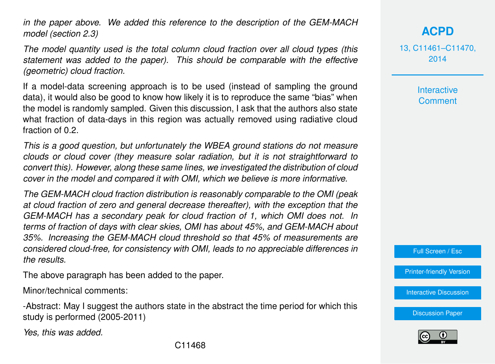*in the paper above. We added this reference to the description of the GEM-MACH model (section 2.3)*

*The model quantity used is the total column cloud fraction over all cloud types (this statement was added to the paper). This should be comparable with the effective (geometric) cloud fraction.*

If a model-data screening approach is to be used (instead of sampling the ground data), it would also be good to know how likely it is to reproduce the same "bias" when the model is randomly sampled. Given this discussion, I ask that the authors also state what fraction of data-days in this region was actually removed using radiative cloud fraction of 0.2.

*This is a good question, but unfortunately the WBEA ground stations do not measure clouds or cloud cover (they measure solar radiation, but it is not straightforward to convert this). However, along these same lines, we investigated the distribution of cloud cover in the model and compared it with OMI, which we believe is more informative.*

*The GEM-MACH cloud fraction distribution is reasonably comparable to the OMI (peak at cloud fraction of zero and general decrease thereafter), with the exception that the GEM-MACH has a secondary peak for cloud fraction of 1, which OMI does not. In terms of fraction of days with clear skies, OMI has about 45%, and GEM-MACH about 35%. Increasing the GEM-MACH cloud threshold so that 45% of measurements are considered cloud-free, for consistency with OMI, leads to no appreciable differences in the results.*

The above paragraph has been added to the paper.

Minor/technical comments:

-Abstract: May I suggest the authors state in the abstract the time period for which this study is performed (2005-2011)

*Yes, this was added.*

**[ACPD](http://www.atmos-chem-phys-discuss.net)**

13, C11461–C11470, 2014

> **Interactive Comment**

Full Screen / Esc

[Printer-friendly Version](http://www.atmos-chem-phys-discuss.net/13/C11461/2014/acpd-13-C11461-2014-print.pdf)

[Interactive Discussion](http://www.atmos-chem-phys-discuss.net/13/21609/2013/acpd-13-21609-2013-discussion.html)

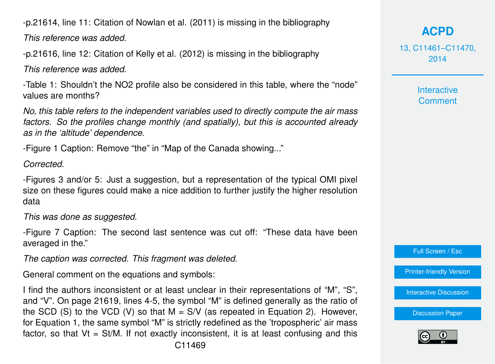-p.21614, line 11: Citation of Nowlan et al. (2011) is missing in the bibliography

*This reference was added.*

-p.21616, line 12: Citation of Kelly et al. (2012) is missing in the bibliography

*This reference was added.*

-Table 1: Shouldn't the NO2 profile also be considered in this table, where the "node" values are months?

*No, this table refers to the independent variables used to directly compute the air mass factors. So the profiles change monthly (and spatially), but this is accounted already as in the 'altitude' dependence.*

-Figure 1 Caption: Remove "the" in "Map of the Canada showing..."

*Corrected.*

-Figures 3 and/or 5: Just a suggestion, but a representation of the typical OMI pixel size on these figures could make a nice addition to further justify the higher resolution data

#### *This was done as suggested.*

-Figure 7 Caption: The second last sentence was cut off: "These data have been averaged in the."

*The caption was corrected. This fragment was deleted.*

General comment on the equations and symbols:

I find the authors inconsistent or at least unclear in their representations of "M", "S", and "V". On page 21619, lines 4-5, the symbol "M" is defined generally as the ratio of the SCD (S) to the VCD (V) so that  $M = S/V$  (as repeated in Equation 2). However, for Equation 1, the same symbol "M" is strictly redefined as the 'tropospheric' air mass factor, so that  $Vt = St/M$ . If not exactly inconsistent, it is at least confusing and this

## **[ACPD](http://www.atmos-chem-phys-discuss.net)**

13, C11461–C11470, 2014

> **Interactive Comment**

Full Screen / Esc

[Printer-friendly Version](http://www.atmos-chem-phys-discuss.net/13/C11461/2014/acpd-13-C11461-2014-print.pdf)

[Interactive Discussion](http://www.atmos-chem-phys-discuss.net/13/21609/2013/acpd-13-21609-2013-discussion.html)